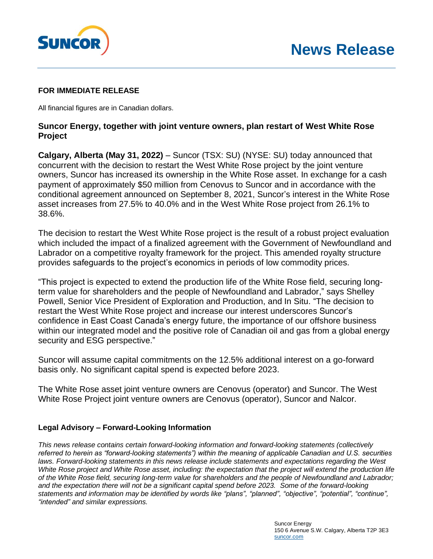

## **FOR IMMEDIATE RELEASE**

All financial figures are in Canadian dollars.

## **Suncor Energy, together with joint venture owners, plan restart of West White Rose Project**

**Calgary, Alberta (May 31, 2022) – Suncor (TSX: SU) (NYSE: SU) today announced that** concurrent with the decision to restart the West White Rose project by the joint venture owners, Suncor has increased its ownership in the White Rose asset. In exchange for a cash payment of approximately \$50 million from Cenovus to Suncor and in accordance with the conditional agreement announced on September 8, 2021, Suncor's interest in the White Rose asset increases from 27.5% to 40.0% and in the West White Rose project from 26.1% to 38.6%.

The decision to restart the West White Rose project is the result of a robust project evaluation which included the impact of a finalized agreement with the Government of Newfoundland and Labrador on a competitive royalty framework for the project. This amended royalty structure provides safeguards to the project's economics in periods of low commodity prices.

"This project is expected to extend the production life of the White Rose field, securing longterm value for shareholders and the people of Newfoundland and Labrador," says Shelley Powell, Senior Vice President of Exploration and Production, and In Situ. "The decision to restart the West White Rose project and increase our interest underscores Suncor's confidence in East Coast Canada's energy future, the importance of our offshore business within our integrated model and the positive role of Canadian oil and gas from a global energy security and ESG perspective."

Suncor will assume capital commitments on the 12.5% additional interest on a go-forward basis only. No significant capital spend is expected before 2023.

The White Rose asset joint venture owners are Cenovus (operator) and Suncor. The West White Rose Project joint venture owners are Cenovus (operator), Suncor and Nalcor.

## **Legal Advisory – Forward-Looking Information**

*This news release contains certain forward-looking information and forward-looking statements (collectively referred to herein as "forward-looking statements") within the meaning of applicable Canadian and U.S. securities*  laws. Forward-looking statements in this news release include statements and expectations regarding the West *White Rose project and White Rose asset, including: the expectation that the project will extend the production life of the White Rose field, securing long-term value for shareholders and the people of Newfoundland and Labrador; and the expectation there will not be a significant capital spend before 2023. Some of the forward-looking statements and information may be identified by words like "plans", "planned", "objective", "potential", "continue", "intended" and similar expressions.*